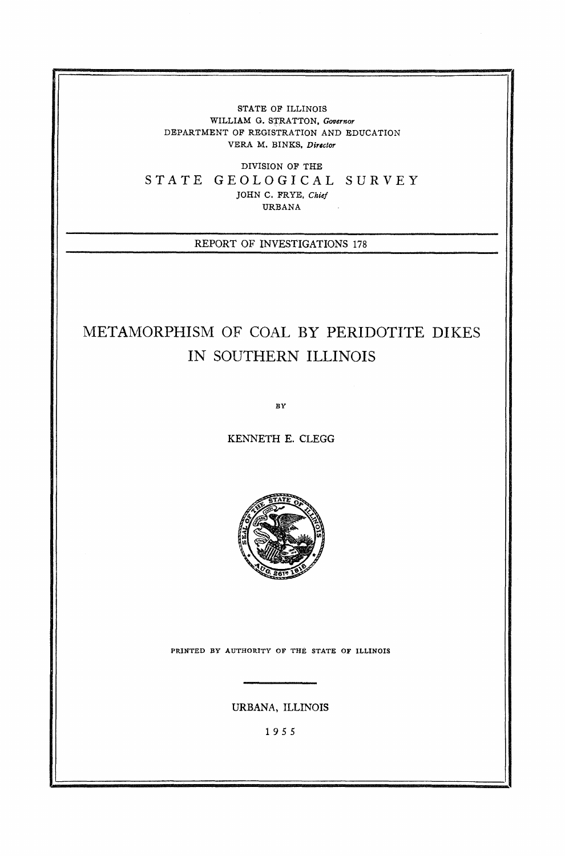STATE OF ILLINOIS WILLIAM G. STRATTON. *Governor*  DEPARTMENT OF REGISTRATION AND EDUCATION VERA M. BINKS. Director

DIVISION OF THE STATE GEOLOGICAL SURVEY JOHN C. FRYE, *Chief*  URBANA

REPORT OF INVESTIGATIONS 178

# METAMORPHISM OF COAL BY PERIDOTITE DIKES IN SOUTHERN ILLINOIS

**BY** 

KENNETH E. CLEGG



**PRIXTED BY AUTHORITY OF THE STATE OF ILLINOIS** 

**URBANA, ILLINOIS** 

**1955**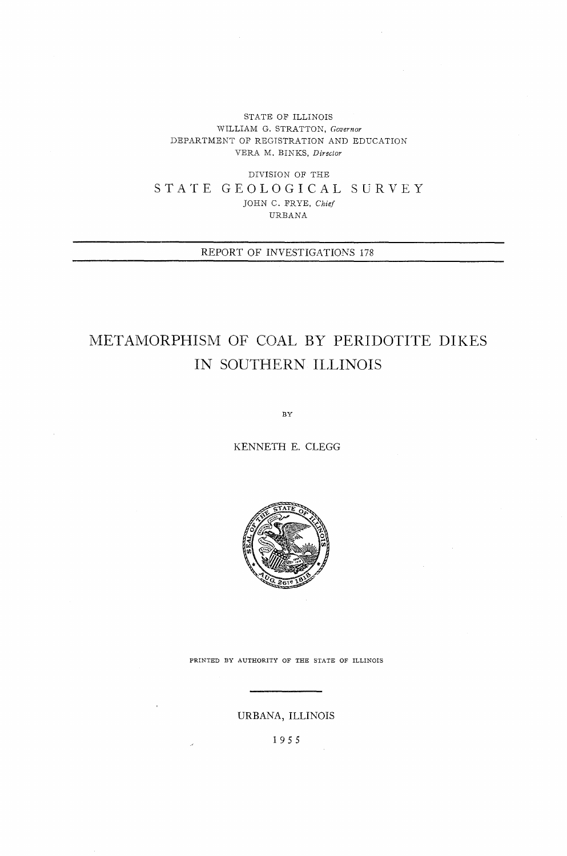STATE OF ILLINOIS WILLIAM G. STRATTON, Governor DEPARTMENT OF RESTSTRATION AND EDUCATION VERA M. BINKS, *Diractor* 

DIVISION OF THE STATE GEOLOGICAL SURVEY JOHN C. FRYE, **Chief**  URBANA

REPORT OF INVESTIGATIONS 178

# METAMORPHISM OF COAL BY PERHDOTITE DIKES IN SOUTHERN ILLINOIS

BY

KENNETH E. CLEGG



PRINTED BY AUTHORITY OF THE STATE OF ILLINOIS

URBANA, ILLINOIS

1955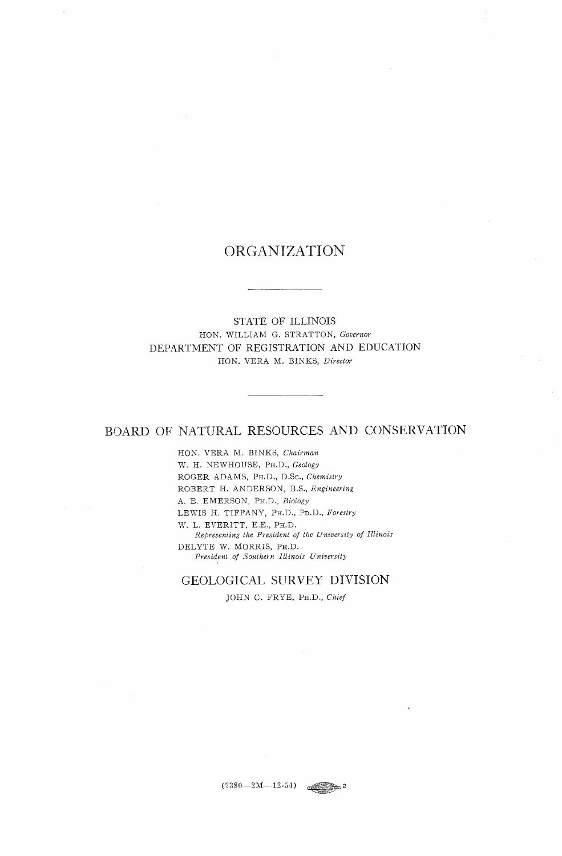## ORGANIZATION

STATE OF ILLINOIS HON. WILLIAM G. STRATTON, *Governor*  DEPARTMENT OF REGISTRATION AND EDUCATION HON. VERA M. BINKS, *Director* 

# BOARD OF NATURAL RESOURCES AND CONSERVATION

HON. VERA M. BINKS, *Chaivman*  W. H. NEWHOUSE, PH.D., *Geology* ROGER ADAMS, PH.D., D.Sc., *Chemistry*  ROBERT H. ANDERSON, B.S., *Engineering* A. E. EMERSON, PH.D., *Biology* LEWIS H. TIFFANY, PH.D., PD.D., *Forestry* W. *L.* EVERITT, E.E., PH.D. *Representiag the President of the University of Illinois*  DELYTE W. MORRIS, PH.D. *President of Soulhevn Illinois University* 

GEOLOGICAL SURVEY DIVISION

JOHN C. FRYE, PH.D., *Chief*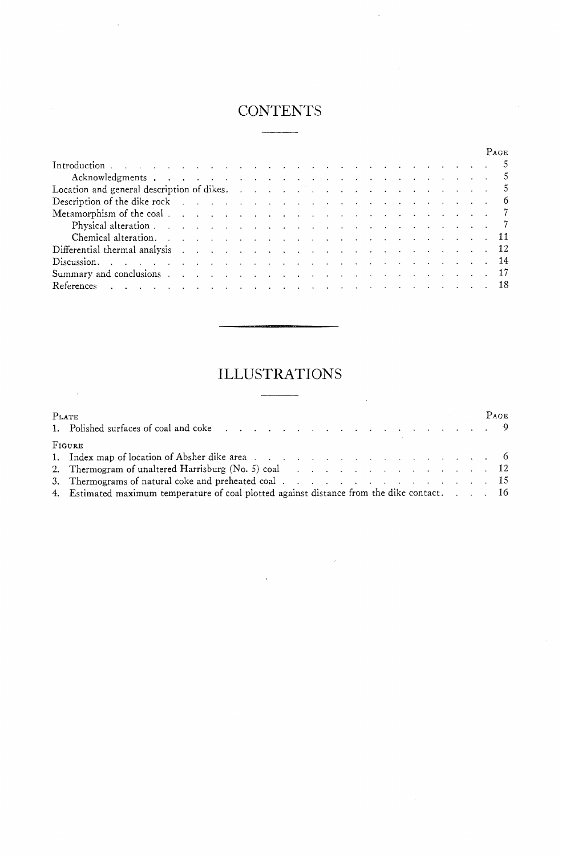## **CONTENTS**  $\frac{1}{1-\frac{1}{1-\frac{1}{1-\frac{1}{1-\frac{1}{1-\frac{1}{1-\frac{1}{1-\frac{1}{1-\frac{1}{1-\frac{1}{1-\frac{1}{1-\frac{1}{1-\frac{1}{1-\frac{1}{1-\frac{1}{1-\frac{1}{1-\frac{1}{1-\frac{1}{1-\frac{1}{1-\frac{1}{1-\frac{1}{1-\frac{1}{1-\frac{1}{1-\frac{1}{1-\frac{1}{1-\frac{1}{1-\frac{1}{1-\frac{1}{1-\frac{1}{1-\frac{1}{1-\frac{1}{1-\frac{1}{1-\frac{1}{1-\frac{1}{1-\frac{1}{1-\frac{1}{1-\frac{1$

 $\bar{z}$ 

 $\sim$ 

|                                                                                                                                                                                                                                | <b>PAGE</b> |
|--------------------------------------------------------------------------------------------------------------------------------------------------------------------------------------------------------------------------------|-------------|
|                                                                                                                                                                                                                                |             |
|                                                                                                                                                                                                                                |             |
|                                                                                                                                                                                                                                |             |
|                                                                                                                                                                                                                                |             |
|                                                                                                                                                                                                                                |             |
|                                                                                                                                                                                                                                |             |
|                                                                                                                                                                                                                                |             |
| Differential thermal analysis and the contract of the contract of the contract of the contract of the contract of the contract of the contract of the contract of the contract of the contract of the contract of the contract |             |
|                                                                                                                                                                                                                                |             |
| Summary and conclusions entering the content of the content of the content of the content of the content of the content of the content of the content of the content of the content of the content of the content of the conte |             |
| References                                                                                                                                                                                                                     |             |

## ILLUSTRATIONS  $\begin{array}{c} \begin{array}{c} \hline \end{array} \end{array}$

| PLATE |                                                                                            |  |  |  |  |  |  | $\mathcal{L}(\mathcal{L}^{\mathcal{L}})$ and $\mathcal{L}(\mathcal{L}^{\mathcal{L}})$ and $\mathcal{L}(\mathcal{L}^{\mathcal{L}})$ | PAGE |
|-------|--------------------------------------------------------------------------------------------|--|--|--|--|--|--|------------------------------------------------------------------------------------------------------------------------------------|------|
|       | FIGURE                                                                                     |  |  |  |  |  |  |                                                                                                                                    |      |
|       |                                                                                            |  |  |  |  |  |  |                                                                                                                                    |      |
|       | 2. Thermogram of unaltered Harrisburg (No. 5) coal 12                                      |  |  |  |  |  |  |                                                                                                                                    |      |
|       | 3. Thermograms of natural coke and preheated coal 15                                       |  |  |  |  |  |  |                                                                                                                                    |      |
|       | 4. Estimated maximum temperature of coal plotted against distance from the dike contact 16 |  |  |  |  |  |  |                                                                                                                                    |      |

 $\mathcal{L}_{\text{max}}$  .

 $\mathcal{L}^{\text{max}}_{\text{max}}$  and  $\mathcal{L}^{\text{max}}_{\text{max}}$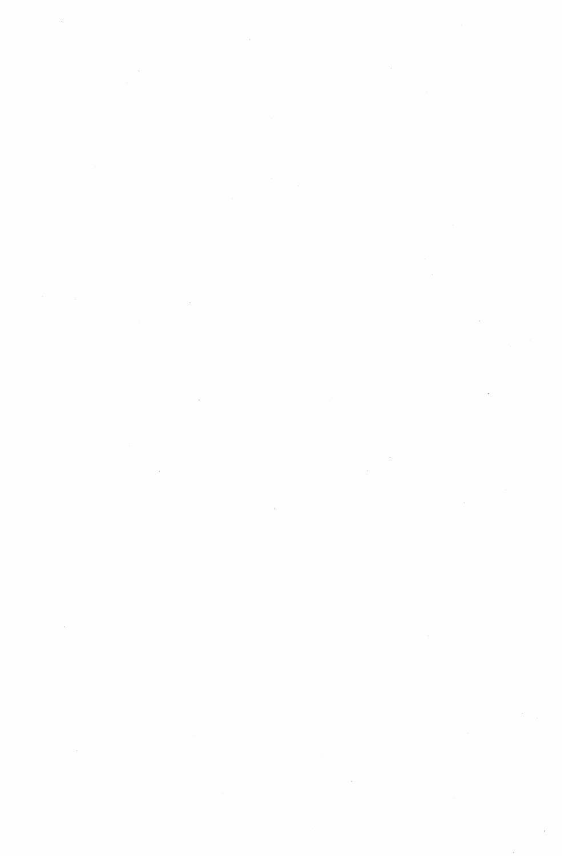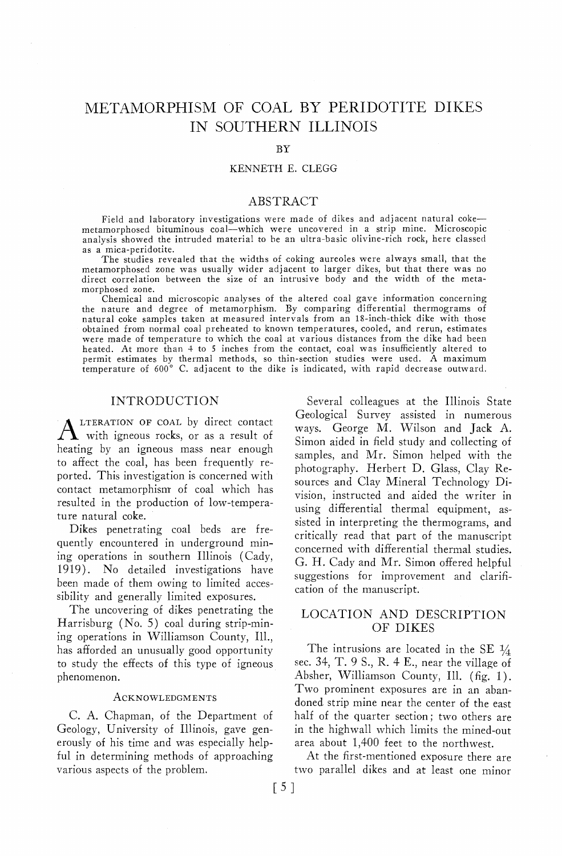## METAMORPHISM OF COAL BY PERIDOTITE DIKES IN SOUTHERN ILLINOIS

#### $RY$

#### KENNETH E. CLEGG

#### ABSTRACT

Field and laboratory investigations were made of dikes and adjacent natural cokemetamorphosed bituminous coal-which were uncovered in a strip mine. Microscopic analysis showed the intruded material to he an ultra-basic olivine-rich rock, here classed as a mica-peridotite.

The studies revealed that the widths of coking aureoles were always small, that the metamorphosed zone was usually wider adjacent to larger dikes, but that there was no direct correlation between the size of an intrusive body and the width of the meta-<br>morphosed zone.

Chemical and microscopic analyses of the altered coal gave information concerning the nature and degree of metamorphism. By comparing differential thermograms of natural coke samples taken at measured intervals from an 18-inch-thick dike with those obtained from normal coal preheated to known temperatures, cooled, and rerun, estimates were made of temperature to which the coal at various distances from the dike had been were made of temperature to which the coal at various distances from the dike had been<br>heated. At more than 4 to 5 inches from the contact, coal was insufficiently altered to<br>permit estimates by thermal methods, so thin-se temperature of 600" C. adjacent to the dike is indicated, with rapid decrease outward.

#### INTRODUCTION

A LTERATION OF COAL by direct contact with igneous rocks, or as a result of heating by an igneous mass near enough to affect the coal, has been frequently reported. This investigation is concerned with contact metamorphism of coal which has resulted in the production of low-temperature natural coke.

Dikes penetrating coal beds are frequently encountered in underground mining operations in southern Illinois (Cady, 1919). No detailed investigations have been made of them owing to limited accessibility and generally limited exposures.

The uncovering of dikes penetrating the Harrisburg (No. 5) coal during strip-mining operations in Williamson County, Ill., has afforded an unusually good opportunity to study the effects of this type of igneous phenomenon.

#### **ACKNOWLEDGMENTS**

C. A. Chapman, of the Department of Geology, University of Illinois, gave generously of his time and was especially helpful in determining methods of approaching various aspects of the problem.

Several colleagues at the Illinois State Geological Survey assisted in numerous ways. George M. Wilson and Jack A. Simon aided in field study and collecting of samples, and Mr. Simon helped with the photography. Herbert D. Glass, Clay Resources and Clay Mineral Technology Division, instructed and aided the writer in using differential thermal equipment, assisted in interpreting the thermograms, and critically read that part of the manuscript concerned with differential thermal studies. G. H. Cady and Mr. Simon offered helpful suggestions for improvement and clarification of the manuscript.

#### LOCATION AND DESCRIPTION OF DIKES

The intrusions are located in the SE  $\frac{1}{4}$ sec. 34, T. 9 S., R. 4 E., near the village of Absher, Williamson County, Ill. (fig. 1). Two prominent exposures are in an abandoned strip mine near the center of the east half of the quarter section; two others are in the highwall which limits the mined-out area about 1,400 feet to the northwest.

At the first-mentioned exposure there are two parallel dikes and at least one minor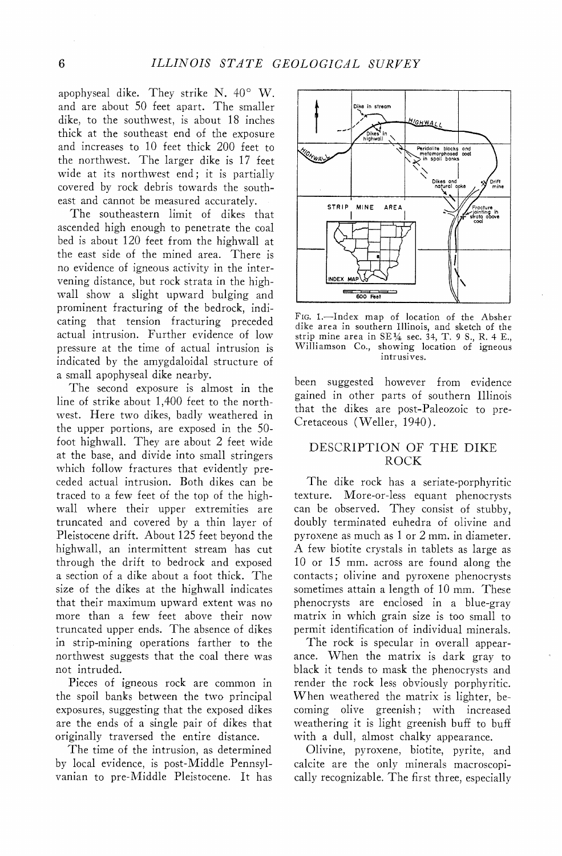apophyseal dike. They strike N.  $40^{\circ}$  W. and are about 50 feet apart. The smaller dike, to the southwest, is about 18 inches thick at the southeast end of the exposure and increases to 10 feet thick 200 feet to the northwest. The larger dike is 17 feet wide at its northwest end; it is partially covered by rock debris towards the southeast and cannot be measured accurately.

The southeastern limit of dikes that ascended high enough to penetrate the coal bed is about 120 feet from the highwall at the east side of the mined area. There is no evidence of igneous activity in the intervening distance, but rock strata in the highwall show a slight upward bulging and prominent fracturing of the bedrock, indicating that tension fracturing preceded actual intrusion. Further evidence of low pressure at the time of actual intrusion is indicated by the amygdaloidal structure of a small apophyseal dike nearby.

The second exposure is almost in the line of strike about 1,400 feet to the northwest. Here two dikes, badly weathered in the upper portions, are exposed in the 50 foot highwall. They are about 2 feet wide at the base, and divide into small stringers which follow fractures that evidently preceded actual intrusion. Both dikes can be traced to a few feet of the top of the highwall where their upper extremities are truncated and covered by a thin layer of Pleistocene drift. About 125 feet beyond the highwall, an intermittent stream has cut through the drift to bedrock and exposed a section of a dike about a foot thick. The size of the dikes at the highwall indicates that their maximum upward extent was no more than a few feet above their now truncated upper ends. The absence of dikes in strip-mining operations farther to the northwest suggests that the coal there was not intruded.

Pieces of igneous rock are common in the spoil banks between the two principal exposures, suggesting that the exposed dikes are the ends of a single pair of dikes that originally traversed the entire distance.

The time of the intrusion, as determined by local evidence, is post-Middle Pennsylvanian to pre-Middle Pleistocene. It has



FIG. 1.-Index map of location of the Absher dike area in southern Illinois, and sketch of the strip mine area in SE% sec. **31,** T. 9 S., R. 4 E., Williamson Co., showing location of igneous intrusives.

been suggested however from evidence gained in other parts of southern Illinois that the dikes are post-Paleozoic to pre-Cretaceous (Weller, 1940).

### DESCRIPTION OF THE DIKE ROCK

The dike rock has a seriate-porphyritic texture. More-or-less equant phenocrysts can be observed. They consist of stubby, doubly terminated euhedra of olivine and pyroxene as much as 1 or 2 mm. in diameter. A few biotite crystals in tablets as large as 10 or 15 mm. across are found along the contacts; olivine and pyroxene phenocrysts sometimes attain a length of 10 mm. These phenocrysts are enclosed in a blue-gray matrix in which grain size is too small to permit identification of individual minerals.

The rock is specular in overall appearance. When the matrix is dark gray to black it tends to mask the phenocrysts and render the rock less obviously porphyritic. When weathered the matrix is lighter, becoming olive greenish; with increased weathering it is light greenish buff to buff with a dull, almost chalky appearance.

Olivine, pyroxene, biotite, pyrite, and calcite are the only minerals macroscopically recognizable. The first three, especially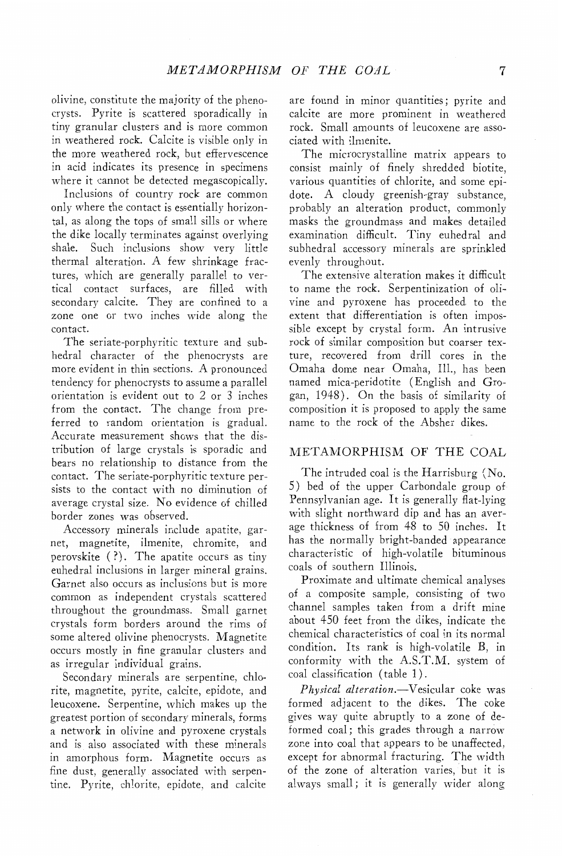olivine, constitute the majority of the phenocrysts. Pyrite is scattered sporadically in tiny granular clusters and is more common in weathered rock. Calcite is visible only in the more weathered rock, but effervescence in acid indicates its presence in specimens where it cannot be detected megascopically,

Inclusions of country rock are common only where the contact is essentially horizontal, as along the tops of small sills or where the dike locally terminates against overlying shale. Such inclusions show very little thermal alteration. A few shrinkage fractures, which are generally parallel to vertical contact surfaces, are filled with secondary calcite. They are confined to a zone one or two inches wide along the contact.

The seriate-porphyritic texture and subhedral character of the phenocrysts are more evident in thin sections. A pronounced tendency for phenocrysts to assume a parallel orientation is evident out to 2 or 3 inches from the contact. The change from preferred to random orientation is gradual. Accurate measurement shows that the distribution of large crystals is sporadic and bears no relationship to distance from the contact. The seriate-porphyritic texture persists to the contact with no diminution of average crystal size. No evidence of chilled border zones was observed.

Accessory minerals include apatite, garnet, magnetite, ilmenite, chromite, and perovskite (?). The apatite occurs as tiny euhedral inclusions in larger mineral grains. Garnet also occurs as inclusions but is more common as independent crystals scattered throughout the groundmass. Small garnet crystals form borders around the rims of some altered olivine phenocrysts. Magnetite occurs mostly in fine granular clusters and as irregular individual grains.

Secondary minerals are serpentine, chlorite, magnetite, pyrite, calcite, epidote, and leucoxene. Serpentine, which makes up the greatest portion of secondary minerals, forms a network in olivine and pyroxene crystals and is also associated with these minerals in amorphous form. Magnetite occurs as fine dust, generally associated with serpentine. Pyrite, chlorite, epidote, and calcite

are found in minor quantities; pyrite and calcite are more prominent in weathered rock. Small amounts of leucoxene are associated with ilmenite.

The microcrystalline matrix appears to consist mainly of finely shredded biotite, various quantities of chlorite, and some epidote. A cloudy greenish-gray substance, probably an alteration product, commonly masks the groundmass and makes detailed examination difficult. Tiny euhedral and subhedral accessory minerals are sprinkled evenly throughout.

The extensive alteration makes it difficult to name the rock. Serpentinization of olivine and pyroxene has proceeded to the extent that differentiation is often impossible except by crystal form. An intrusive rock of similar composition but coarser texture, recovered from drill cores in the Omaha dome near Omaha, Ill., has been named mica-peridotite (English and Grogan, 1948). On the basis of similarity of composition it is proposed to apply the same name to the rock of the Absher dikes.

#### METAMORPHISM OF THE COAL

The intruded coal is the Harrisburg (No. 5) bed of the upper Carbondale group of Pennsylvanian age. It is generally flat-lying with slight northward dip and has an average thickness of from 48 to 50 inches. It has the normally bright-banded appearance characteristic of high-volatile bituminous coals of southern Illinois.

Proximate and ultimate chemical analyses of a composite sample, consisting of two channel samples taken from a drift mine about 450 feet from the dikes, indicate the chemical characteristics of coal in its normal condition. Its rank is high-volatile B, in conformity with the A.S.T.M. system of coal classification (table 1).

Physical alteration.-Vesicular coke was formed adjacent to the dikes. The coke gives way quite abruptly to a zone of deformed coal; this grades through a narrow zone into coal that appears to be unaffected, except for abnormal fracturing. The width of the zone of alteration varies, but it is always small ; it is generally wider along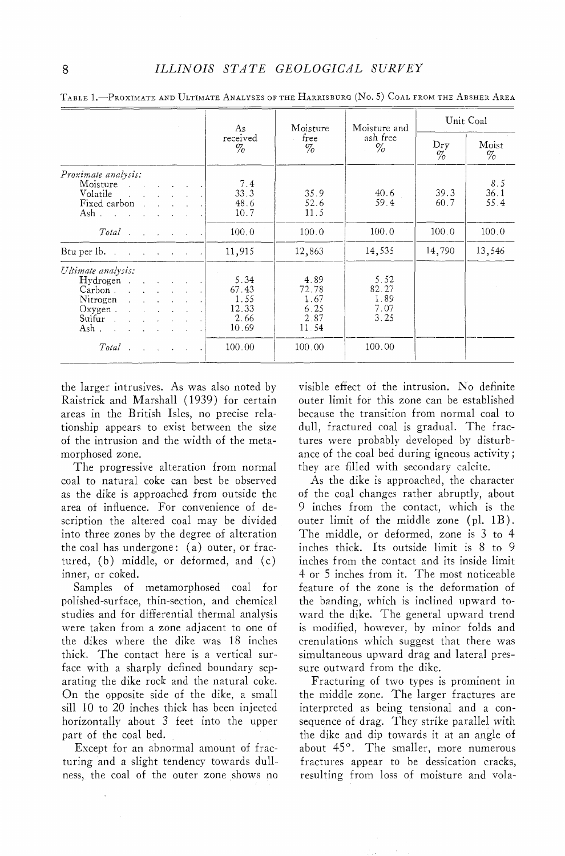|                                                                                                                                                  |                                                 | Moisture<br>Moisture and<br>As                 |                                       |              |                     |
|--------------------------------------------------------------------------------------------------------------------------------------------------|-------------------------------------------------|------------------------------------------------|---------------------------------------|--------------|---------------------|
|                                                                                                                                                  | received<br>%                                   | free<br>%                                      | ash free<br>%                         | Dry<br>%     | Moist<br>%          |
| Proximate analysis:<br>Moisture<br>and the company of the<br>Volatile<br>and a strategic control of the<br>Fixed carbon<br>Ash $\cdots$ $\cdots$ | 7.4<br>33.3<br>48.6<br>10.7                     | 35.9<br>52.6<br>11.5                           | 40.6<br>59.4                          | 39.3<br>60.7 | 8.5<br>36.1<br>55.4 |
| Total                                                                                                                                            | 100.0                                           | 100.0                                          | 100.0                                 | 100.0        | 100.0               |
| Btu per $1\text{b}$ . $\ldots$ $\ldots$ $\ldots$                                                                                                 | 11,915                                          | 12,863                                         | 14,535                                | 14,790       | 13,546              |
| Ultimate analysis:<br>Hydrogen<br>$Carbon \ldots \ldots \ldots$<br>Nitrogen<br>Oxygen<br>Sulfur<br>$\mathop{\mathrm{Ash}}$                       | 5.34<br>67.43<br>1.55<br>12.33<br>2.66<br>10.69 | 4.89<br>72.78<br>1.67<br>6.25<br>2.87<br>11.54 | 5.52<br>82.27<br>1.89<br>7.07<br>3.25 |              |                     |
| Total years in the Total years of the Total year.                                                                                                | 100.00                                          | 100.00                                         | 100.00                                |              |                     |

TABLE 1.—PROXIMATE AND ULTIMATE ANALYSES OF THE HARRISBURG (No. 5) COAL FROM THE ABSHER AREA

the larger intrusives. As was also noted by Raistrick and Marshall ( 1939) for certain areas in the British Isles, no precise relationship appears to exist between the size of the intrusion and the width of the metamorphosed zone.

The progressive alteration from normal coal to natural coke can best be observed as the dike is approached from outside the area of influence. For convenience of description the altered coal may be divided into three zones by the degree of alteration the coal has undergone: (a) outer, or fractured, (b) middle, or deformed, and (c) inner, or coked.

Samples of metamorphosed coal for polished-surface, thin-section, and chemical studies and for differential thermal analysis were taken from a zone adjacent to one of the dikes where the dike was 18 inches thick. The contact here is a vertical surface with a sharply defined boundary separating the dike rock and the natural coke. On the opposite side of the dike, a small sill 10 to 20 inches thick has been injected horizontally about 3 feet into the upper part of the coal bed.

Except for an abnormal amount of fracturing and a slight tendency towards dullness, the coal of the outer zone shows no visible effect of the intrusion. No definite outer limit for this zone can be established because the transition from normal coal to dull, fractured coal is gradual. The fractures were probably developed by disturbance of the coal bed during igneous activity ; they are filled with secondary calcite.

As the dike is approached, the character of the coal changes rather abruptly, about 9 inches from the contact, which is the outer limit of the middle zone (pl. 1B). The middle, or deformed, zone is 3 to 4 inches thick. Its outside limit is 8 to 9 inches from the contact and its inside limit 4 or 5 inches from it. The most noticeable feature of the zone is the deformation of the banding, which is inclined upward toward the dike. The general upward trend is modified, however, by minor folds and crenulations which suggest that there was simultaneous upward drag and lateral pressure outward from the dike.

Fracturing of two types is prominent in the middle zone. The larger fractures are interpreted as being tensional and a consequence of drag. They strike parallel with the dike and dip towards it at an angle of about  $45^\circ$ . The smaller, more numerous fractures appear to be dessication cracks, resulting from loss of moisture and vola-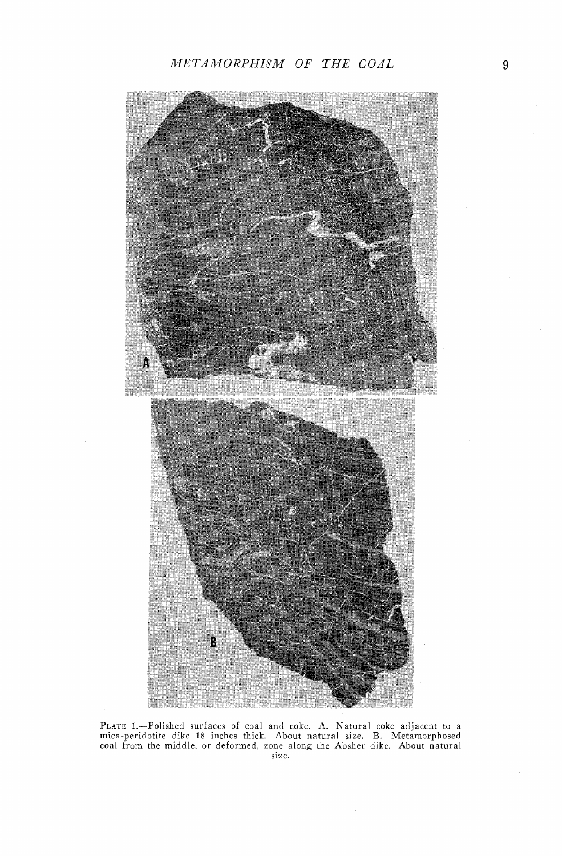

PLATE 1.-Polished surfaces of coal and coke. A. Natural coke adjacent to a mica-peridotite dike 18 inches thick. About natural size. B. Metamorphosed coal from the middle, or deformed, zone along the Absher dike. About natural size.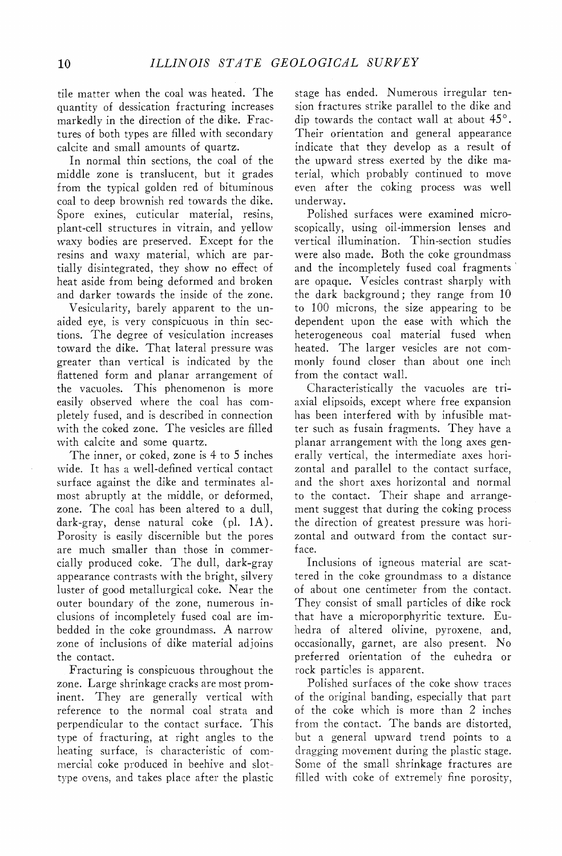tile matter when the coal was heated. The quantity of dessication fracturing increases markedly in the direction of the dike. Fractures of both types are filled with secondary calcite and small amounts of quartz.

In normal thin sections, the coal of the middle zone is translucent, but it grades from the typical golden red of bituminous coal to deep brownish red towards the dike. Spore exines, cuticular material, resins, plant-cell structures in vitrain, and yellow waxy bodies are preserved. Except for the resins and waxy material, which are partially disintegrated, they show no effect of heat aside from being deformed and broken and darker towards the inside of the zone.

Vesicularity, barely apparent to the unaided eye, is very conspicuous in thin sections. The degree of vesiculation increases toward the dike. That lateral pressure was greater than vertical is indicated by the flattened form and planar arrangement of the vacuoles. This phenomenon is more easily observed where the coal has completely fused, and is described in connection with the coked zone. The vesicles are filled with calcite and some quartz.

The inner, or coked, zone is 4 to 5 inches wide. It has a well-defined vertical contact surface against the dike and terminates almost abruptly at the middle, or deformed, zone. The coal has been altered to a dull, dark-gray, dense natural coke (pl. 1A). Porosity is easily discernible but the pores are much smaller than those in commercially produced coke. The dull, dark-gray appearance contrasts with the bright, silvery luster of good metallurgical coke. Near the outer boundary of the zone, numerous inclusions of incompletely fused coal are imbedded in the coke groundmass. A narrow zone of inclusions of dike material adjoins the contact.

Fracturing is conspicuous throughout the zone. Large shrinkage cracks are most prominent. They are generally vertical with reference to the normal coal strata and perpendicular to the contact surface. This type of fracturing, at right angles to the heating surface, is characteristic of commercial coke produced in beehive and slottype ovens, and takes place after the plastic stage has ended. Numerous irregular tension fractures strike parallel to the dike and dip towards the contact wall at about 45'. Their orientation and general appearance indicate that they develop as a result of the upward stress exerted by the dike material, which probably continued to move even after the coking process was well underway.

Polished surfaces were examined microscopically, using oil-immersion lenses and vertical illumination. Thin-section studies were also made. Both the coke groundmass and the incompletely fused coal fragments are opaque. Vesicles contrast sharply with the dark background; they range from 10 to 100 microns, the size appearing to be dependent upon the ease with which the heterogeneous coal material fused when heated. The larger vesicles are not commonly found closer than about one inch from the contact wall.

Characteristically the vacuoles are triaxial elipsoids, except where free expansion has been interfered with by infusible matter such as fusain fragments. They have a planar arrangement with the long axes generally vertical, the intermediate axes horizontal and parallel to the contact surface, and the short axes horizontal and normal to the contact. Their shape and arrangement suggest that during the coking process the direction of greatest pressure was horizontal and outward from the contact surface.

Inclusions of igneous material are scattered in the coke groundmass to a distance of about one centimeter from the contact. 'They consist of small particles of dike rock that have a microporphyritic texture. Euhedra of altered olivine, pyroxene, and, occasionally, garnet, are also present. No preferred orientation of the euhedra or rock particles is apparent.

Polished surfaces of the coke show traces of the original banding, especially that part of the coke which is more than 2 inches from the contact. The bands are distorted, but a general upward trend points to a dragging movement during the plastic stage. Some of the small shrinkage fractures are filled with coke of extremely fine porosity,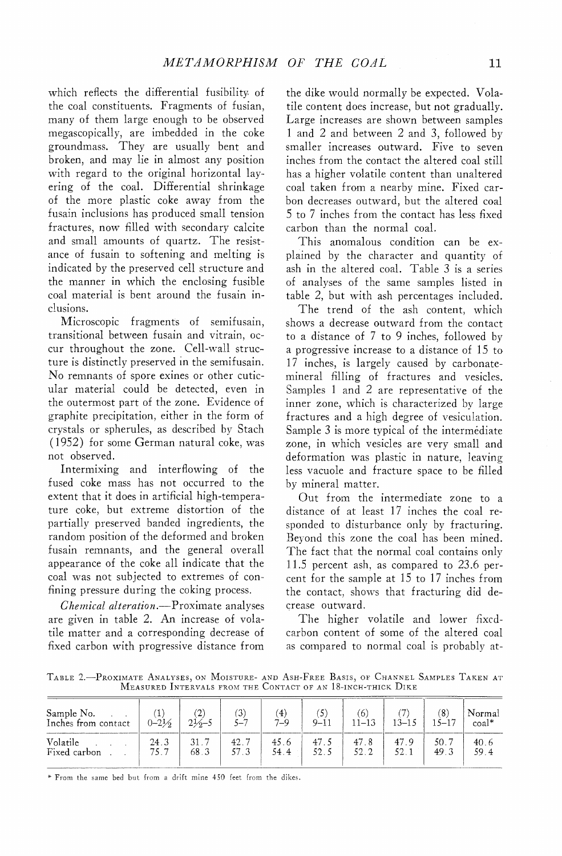which reflects the differential fusibility of the coal constituents. Fragments of fusian, many of them large enough to be observed megascopically, are imbedded in the coke groundmass. They are usually bent and broken, and may lie in almost any position with regard to the original horizontal layering of the coal. Differential shrinkage of the more plastic coke away from the fusain inclusions has produced small tension fractures, now filled with secondary calcite and small amounts of quartz. The resistance of fusain to softening and melting is indicated by the preserved cell structure and the manner in which the enclosing fusible coal material is bent around the fusain inclusions.

Microscopic fragments of semifusain, transitional between fusain and vitrain, occur throughout the zone. Cell-wall structure is distinctly preserved in the semifusain. No remnants of spore exines or other cuticular material could be detected, even in the outermost part of the zone. Evidence of graphite precipitation, either in the form of crystals or spherules, as described by Stach (1952) for some German natural coke, was not observed.

Intermixing and interflowing of the fused coke mass has not occurred to the extent that it does in artificial high-temperature coke, but extreme distortion of the partially preserved banded ingredients, the random position of the deformed and broken fusain remnants, and the general overall appearance of the coke all indicate that the coal was not subjected to extremes of confining pressure during the coking process.

Chemical alteration.---Proximate analyses are given in table 2. An increase of volatile matter and a corresponding decrease of fixed carbon with progressive distance from

the dike would normally be expected. Volatile content does increase, but not gradually. Large increases are shown between samples 1 and 2 and between 2 and 3, followed by smaller increases outward. Five to seven inches from the contact the altered coal still has a higher volatile content than unaltered coal taken from a nearby mine. Fixed carbon decreases outward, but the altered coal 5 to 7 inches from the contact has less fixed carbon than the normal coal.

This anomalous condition can be explained by the character and quantity of ash in the altered coal. Table 3 is a series of analyses of the same samples listed in table 2, but with ash percentages included.

The trend of the ash content, which shows a decrease outward from the contact to a distance of 7 to 9 inches, followed by a progressive increase to a distance of 15 to 17 inches, is largely caused by carbonatemineral filling of fractures and vesicles. Samples 1 and 2 are representative of the inner zone, which is characterized by large fractures and a high degree of vesiculation. Sample 3 is more typical of the intermediate zone, in which vesicles are very small and deformation was plastic in nature, leaving less vacuole and fracture space to be filled by mineral matter.

Out from the intermediate zone to a distance of at least 17 inches the coal responded to disturbance only by fracturing. Beyond this zone the coal has been mined. The fact that the normal coal contains only 11.5 percent ash, as compared to 23.6 percent for the sample at 15 to 17 inches from the contact, shows that fracturing did decrease outward.

The higher volatile and lower fixcdcarbon content of some of the altered coal as compared to normal coal is probably at-

TABLE 2.-PROXIMATE ANALYSES, *ON* MOISTURE- AND ASH-FREE BASIS, OF CHANNEL SAMPLES TAKEN AT

| are given in table $\mathcal{L}$ . An increase or voia-<br>The inglier volatile and lower lixed-<br>carbon content of some of the altered coal<br>tile matter and a corresponding decrease of<br>fixed carbon with progressive distance from<br>as compared to normal coal is probably at- |                                                              |                                                                             |                                          |                   |                                                                                           |                                                                                                             |              |              |                 |  |  |
|--------------------------------------------------------------------------------------------------------------------------------------------------------------------------------------------------------------------------------------------------------------------------------------------|--------------------------------------------------------------|-----------------------------------------------------------------------------|------------------------------------------|-------------------|-------------------------------------------------------------------------------------------|-------------------------------------------------------------------------------------------------------------|--------------|--------------|-----------------|--|--|
| TABLE 2.—PROXIMATE ANALYSES, ON MOISTURE- AND ASH-FREE BASIS, OF CHANNEL SAMPLES TAKEN AT                                                                                                                                                                                                  | MEASURED INTERVALS FROM THE CONTACT OF AN 18-INCH-THICK DIKE |                                                                             |                                          |                   |                                                                                           |                                                                                                             |              |              |                 |  |  |
| Sample No.<br>Inches from contact                                                                                                                                                                                                                                                          | $^{(1)}_{0-2\frac{1}{2}}$                                    | $\begin{array}{ c} \hline 2\frac{1}{2} & \frac{1}{2} \\ \hline \end{array}$ | $\begin{matrix} (3) \\ 5-7 \end{matrix}$ | $\frac{(4)}{7-9}$ | $\frac{(5)}{9-11}$                                                                        | $\begin{array}{ c c c c c c c } \hline (6) & (7) & (8) \ \hline 11-13 & 13-15 & 15-17 \ \hline \end{array}$ |              |              | Normal<br>coal* |  |  |
| Volatile<br>Fixed carbon                                                                                                                                                                                                                                                                   | 24.3<br>75.7                                                 | 31.7<br>68.3                                                                | 42.7<br>57.3                             |                   | $\begin{array}{ c c c c c } \hline 45.6 & 47.5 & 47.5 & 54.4 & 52.5 \ \hline \end{array}$ | $\frac{47.8}{52.2}$                                                                                         | 47.9<br>52.1 | 50.7<br>49.3 | 40.6<br>59.4    |  |  |

\* From the same bed but from a drift mine 450 feet from the dikes.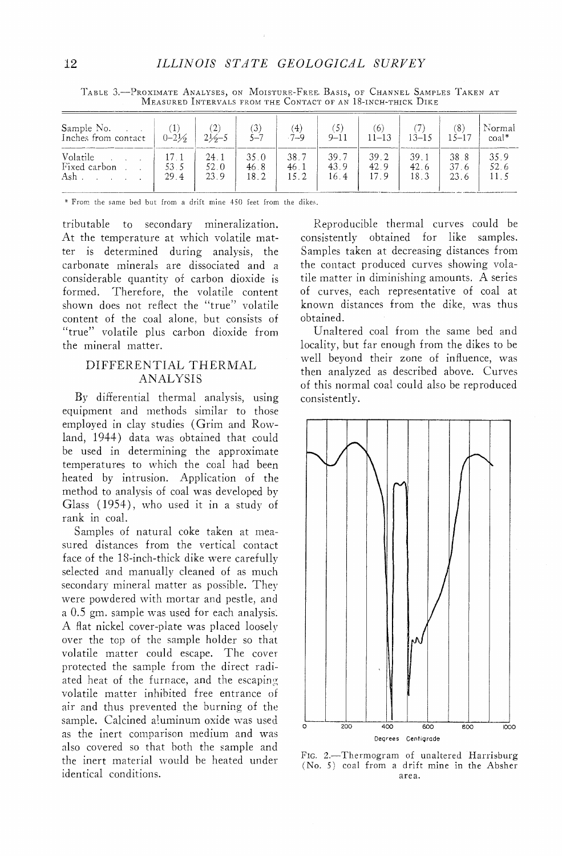TABLE 3.-PROXIMATE ANALYSES, ON MOISTURE-FREE. BASIS, OF CHANNEL SAMPLES TAKEN AT MEASURED INTERVALS FROM THE CONTACT OF AN 18-INCH-THICK DIKE

| Sample No. $(1)$<br>Inches from contact | $0-2\frac{1}{6}$ | $2\frac{1}{6}-5$ | $5 - 7$ | (4)<br>$-7-9$ | $9 - 11$ | (6)<br>$11 - 13$ | $13 - 15$ | (8)<br>$15 - 17$ | Normal<br>coal* |
|-----------------------------------------|------------------|------------------|---------|---------------|----------|------------------|-----------|------------------|-----------------|
| Volatile                                | 17 <sub>1</sub>  | 24 1             | 35.0    | 38.7          | 39.7     | 39 2             | 39 1      | 38.8             | 35.9            |
| Fixed carbon                            | 53.5             | 52.0             | 46.8    | 46.1          | 43.9     | 42.9             | 42.6      | 37.6             | 52.6            |
| Ash.                                    | 29 4             | 23.9             | 18.2    | 15.2          | 16.4     | 179              | 18.3      | 23.6             | 11.5            |

" Fro= *the same bed but* from *a* drift *mine* 450 *feet* from *the* dikes.

tributable to secondary mineralization. At the temperature at which volatile matter is determined during analysis, the carbonate minerals are dissociated and a considerable quantity of carbon dioxide is formed. Therefore, the volatile content shown does not reflect the "true" volatile content of the coal alone, but consists of "true" volatile plus carbon dioxide from the mineral matter.

### DIFFERENTIAL THERMAL ANALYSIS

By differential thermal analysis, using equipment and methods similar to those employed in clap studies (Grim and Rowland, 1914) data was obtained that could be used in determining the approximate temperatures to which the coal had been heated by intrusion. Application of the method to analysis of coal was developed by Glass (1954)) who used it in a study of rank in coal.

Samples of natural coke taken at measured distances from the vertical contact face of the 15-inch-thick dike were carefully selected and manually cleaned of as much secondary mineral matter as possible. They were powdered with mortar and pestle, and a 0.5 gm. sample was used for each analysis. A flat nickel cover-plate was placed loosely over the top of the sample holder so that volatile matter could escape. The cover protected the sample from the direct radiated heat of the furnace, and the escaping volatile matter inhibited free entrance of air and thus prevented the burning of thc: sample. Calcined aluminum oxide was used as the inert comparison medium and was also covered so that both the sample and the inert material would be heated under identical conditions.

Reproducible thermal curves could be consistently obtained for like samples. Samples taken at decreasing distances from the contact produced curves showing volatile matter in diminishing amounts. A series of curves, each representative of coal at known distances from the dike, was thus obtained.

Unaltered coal from the same bed and locality, but far enough from the dikes to be well beyond their zone of influence, was then analyzed as described above. Curves of this normal coal could also be reproduced consistently.



FIG. 2.-Thermogram of unaltered Harrisburg (No. **5)** coal from a drift mine in the Abshes area.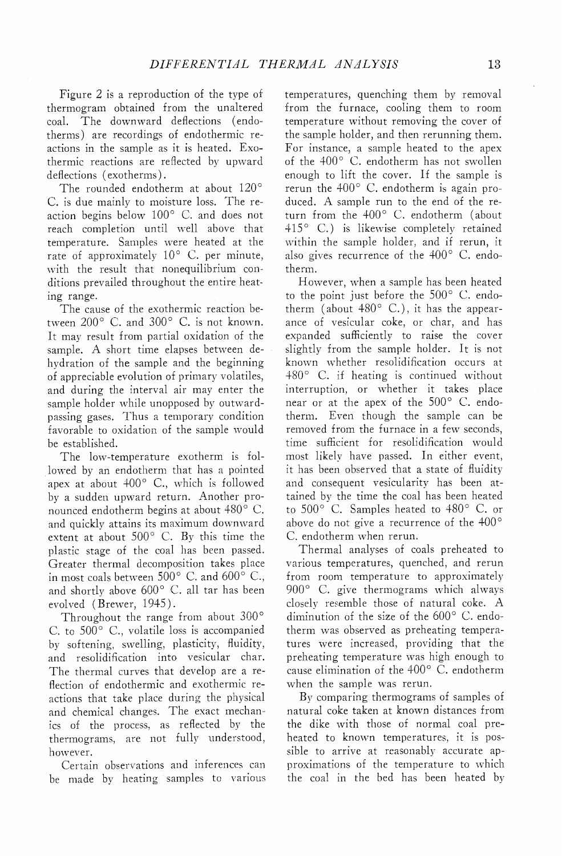Figure 2 is a reproduction of the type of thermogram obtained from the unaltered coal. The downward deflections (endotherms) are recordings of endothermic reactions in the sample as it is heated. Exothermic reactions are reflected by upward deflections (exotherms) .

The rounded endotherm at about 120° C. is due mainly to moisture loss. The reaction begins below  $100^{\circ}$  C. and does not reach completion until well above that temperature. Samples were heated at the rate of approximately 10' *C.* per minute, with the result that nonequilibrium conditions prevailed throughout the entire heating range.

The cause of the exothermic reaction between  $200^{\circ}$  C. and  $300^{\circ}$  C. is not known. It may result from partial oxidation of the sample. A short time elapses between dehydration of the sample and the beginning of appreciable evolution of primary volatiles, and during the interval air may enter the sample holder while unopposed by outwardpassing gases. Thus a temporary condition favorable to oxidation of the sample would be established.

The low-temperature exotherm is followed by an endotherm that has a pointed apex at about  $400^\circ$  C., which is followed by a sudden upward return. Another pronounced endotherm begins at about 480° C. and quickly attains its maximum downward extent at about  $500^{\circ}$  C. By this time the plastic stage of the coal has been passed. Greater thermal decomposition takes place in most coals between  $500^{\circ}$  C. and  $600^{\circ}$  C., and shortly above 600" C. all tar has been evolved (Brewer, 1945).

Throughout the range from about 300° C. to  $500^\circ$  C., volatile loss is accompanied by softening, swelling, plasticity, fluidity, and resolidification into vesicular char. The thermal curves that develop are a reflection of endothermic and exothermic reactions that take place during the physical and chemical changes. The exact mechanics of the process, as reflected by the thermograms, are not fully understood, however.

Certain observations and inferences can be made by heating samples to various temperatures, quenching them by removal from the furnace, cooling them to room temperature without removing the cover of the sample holder, and then rerunning them. For instance, a sample heated to the apex of the  $400^{\circ}$  C. endotherm has not swollen enough to lift the cover. If the sample is rerun the 400° C. endotherm is again produced. A sample run to the end of the return from the 400" C. endotherm (about 415° C.) is likewise completely retained within the sarnple holder, and if rerun, it also gives recurrence of the  $400^{\circ}$  C. endotherm.

However, when a sample has been heated to the point just before the  $500^{\circ}$  C. endotherm (about  $480^{\circ}$  C.), it has the appearance of vesicular coke, or char, and has expanded sufficiently to raise the cover slightly from the sample holder. It is not known whether resolidification occurs at  $480^{\circ}$  C. if heating is continued without interruption, or whether it takes place near or at the apex of the  $500^{\circ}$  C. endotherm. Even though the sample can be removed from the furnace in a few seconds, time sufficient for resolidification would most likely have passed. In either event, it has been observed that a state of fluidity and consequent vesicularity has been attained by the time the coal has been heated to 500" C. Samples heated to 480° C. or above do not give a recurrence of the  $400^{\circ}$ C. endotherm when rerun.

Thermal analyses of coals preheated to various temperatures, quenched, and rerun from room temperature to approximately  $900^{\circ}$  C. give thermograms which always closely resemble those of natural coke. A diminution of the size of the 600° C. endotherm was observed as preheating temperatures were increased, providing that the preheating temperature was high enough to cause elimination of the 100" C. endotherm when the sample was rerun.

By comparing thermograms of samples of natural coke taken at known distances from the dike with those of normal coal preheated to known temperatures, it is possible to arrive at reasonably accurate approximations of the temperature to which the coal in the bed has been heated by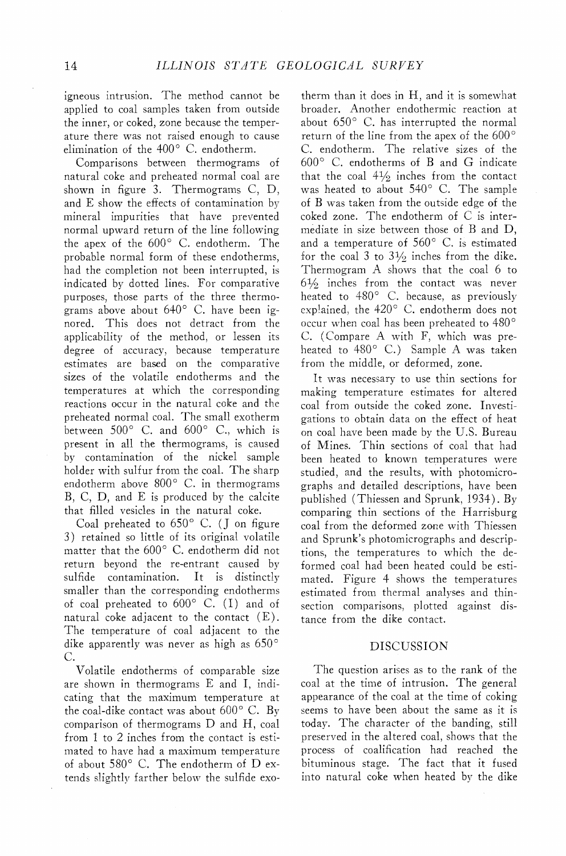igneous intrusion. The method cannot be applied to coal samples taken from outside the inner, or coked, zone because the temperature there was not raised enough to cause elimination of the  $400^{\circ}$  C. endotherm.

Comparisons between thermograms of natural coke and preheated normal coal are shown in figure 3. Therrnograms C, D, and E show the effects of contamination by mineral impurities that have prevented normal upward return of the line following the apex of the  $600^\circ$  C. endotherm. The probable normal form of these endotherms, had the completion not been interrupted, is indicated by dotted lines. For comparative purposes, those parts of the three thermograms above about  $640^\circ$  C. have been ignored. This does not detract from the applicability of the method, or lessen its degree of accuracy, because temperature estimates are based on the comparative sizes of the volatile endotherms and the temperatures at which the corresponding reactions occur in the natural coke and the preheated normal coal. The small exotherm between  $500^{\circ}$  C. and  $600^{\circ}$  C., which is present in all the thermograms, is caused by contamination of the nickel sample holder with sulfur from the coal. The sharp endotherm above  $800^{\circ}$  C. in thermograms B, C, D, and E is produced by the calcite that filled vesicles in the natural coke.

Coal preheated to  $650^{\circ}$  C. (J on figure 3) retained so little of its original volatile matter that the  $600^{\circ}$  C. endotherm did not return beyond the re-entrant caused by sulfide contamination. It is distinctly smaller than the corresponding endotherms of coal preheated to  $600^{\circ}$  C. (I) and of natural coke adjacent to the contact  $(E)$ . The temperature of coal adjacent to the dike apparently was never as high as  $650^\circ$ C.

Volatile endotherms of comparable size are shown in thermograms E and I, indicating that the maximum temperature at the coal-dike contact was about  $600^{\circ}$  C. By comparison of thermograms D and H, coal from 1 to 2 inches from the contact is estimated to have had a maximum temperature of about 580' *G.* The endotherm of D extends slightly farther below the sulfide exo-

therm than it does in H, and it is somewhat broader. Another endothermic reaction at about  $650^{\circ}$  C. has interrupted the normal return of the line from the apex of the  $600^{\circ}$ C. endotherm. The relative sizes of the 600" C. endotherms of B and G indicate that the coal  $4\frac{1}{2}$  inches from the contact was heated to about 540° C. The sample of B was taken from the outside edge of the coked zone. The endotherm of C is intermediate in size between those of B and D, and a temperature of  $560^{\circ}$  C. is estimated for the coal 3 to  $3\frac{1}{2}$  inches from the dike. Thermogram A shows that the coal 6 to  $6\frac{1}{2}$  inches from the contact was never heated to  $480^\circ$  C. because, as previously cxp!ained, the 420" C. endotherm does not occur when coal has been preheated to 480" C. (Compare A with F, which was preheated to 480° C.) Sample A was taken from the middle, or deformed, zone.

It was necessary to use thin sections for making temperature estimates for altered coal from outside the coked zone. Investigations to obtain data on the effect of heat on coal have been made by the U.S. Bureau of Mines. Thin sections of coal that had been heated to known temperatures were studied, and the results, with photomicrographs and detailed descriptions, have been published (Thiessen and Sprunk, 1933). By comparing thin sections of the Harrisburg coal from the deformed zone with Thiessen and Sprunk's photomicrographs and descriptions, the temperatures to which the deformed coal had been heated could be estimated. Figure 4 shows the temperatures estimated from thermal analyses and thinsection comparisons, plotted against distance from the dike contact.

#### DISCUSSION

The question arises as to the rank of the coal at the time of intrusion. The general appearance of the coal at the time of coking seems to have been about the same as it is today. The character of the banding, still preserved in the altered coal, shows that the process of coalification had reached the bituminous stage. The fact that it fused into natural coke when heated by the dike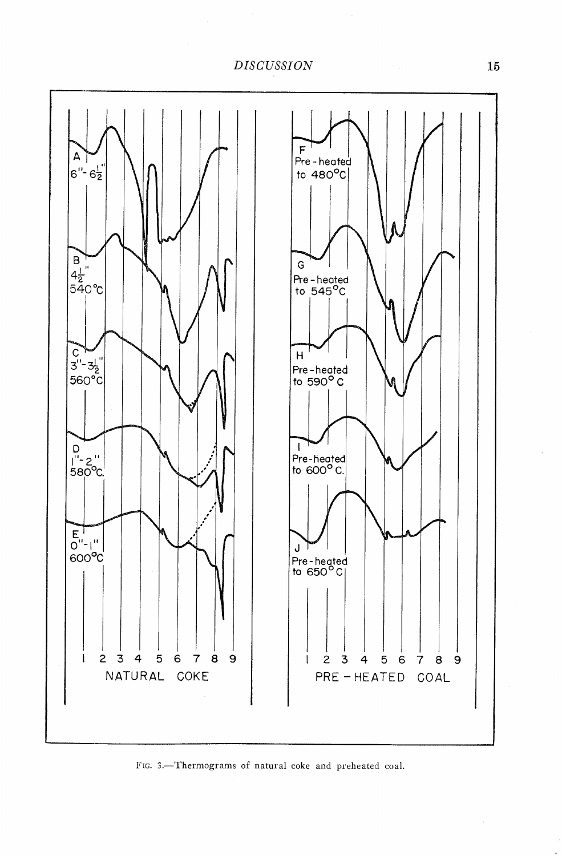*DISCUSSION 15* 



FIG. 3.-Thermograms of natural coke and preheated coal.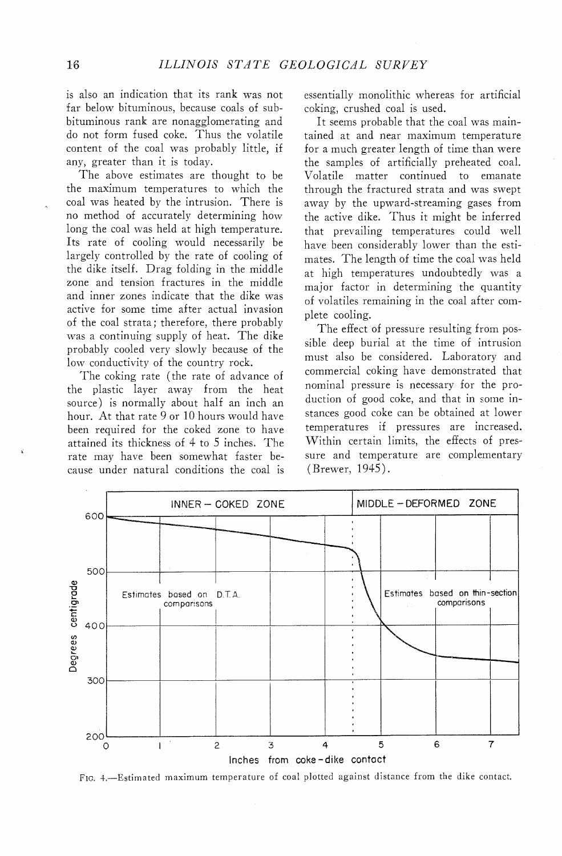is also an indication that its rank was not far below bituminous, because coals of subbituminous rank are nonagglomerating and do not form fused coke. Thus the volatile content of the coal was probably little, if any, greater than it is today.

The above estimates are thought to be the maximum temperatures to which the coal was heated by the intrusion. There is no method of accurately determining how long the coal was held at high temperature. Its rate of cooling would necessarily be largely controlled by the rate of cooling of the dike itself. Drag folding in the middle zone and tension fractures in the middle and inner zones indicate that the dike was active for some time after actual invasion of the coal strata; therefore, there probably was a continuing supply of heat. The dike probably cooled very slowly because of the low conductivity of the country rock.

The coking rate (the rate of advance of the plastic layer away from the heat source) is normally about half an inch an hour. At that rate 9 or 10 hours would have been required for the coked zone to have attained its thickness of 4 to 5 inches. The rate may have been somewhat faster because under natural conditions the coal is essentially monolithic whereas for artificial coking, crushed coal is used.

It seems probable that the coal was maintained at and near maximum temperature for a much greater length of time than were the samples of artificially preheated coal. Volatile matter continued to emanate through the fractured strata and was swept away by the upward-streaming gases from the active dike. Thus it might be inferred that prevailing temperatures could well have been considerably lower than the estimates. The length of time the coal was held at high temperatures undoubtedly was a major factor in determining the quantity of volatiles remaining in the coal after complete cooling.

The effect of pressure resulting from possible deep burial at the time of intrusion must also be considered. Laboratory and commercial coking have demonstrated that nominal pressure is necessary for the production of good coke, and that in come instances good coke can be obtained at lower temperatures if pressures are increased. Within certain limits, the effects of pressure and temperature are complementary (Brewer, 1945).



FIG. 4.-Estimated maximum temperature of coal plotted against distance from the dike contact.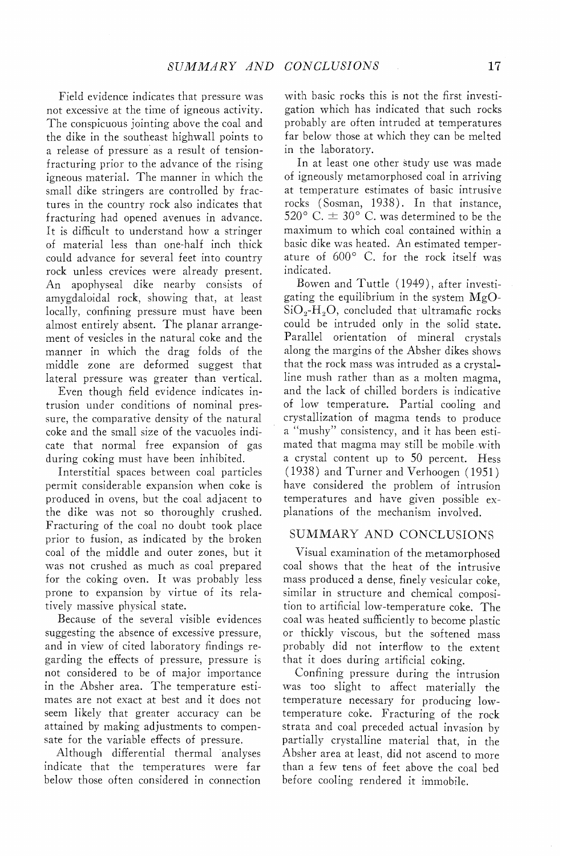Field evidence indicates that pressure was not excessive at the time of igneous activity. The conspicuous jointing above the coal and the dike in the southeast highwall points to a release of pressure' as a result of tensionfracturing prior to the advance of the rising igneous material. The manner in which the small dike stringers are controlled by fractures in the country rock also indicates that fracturing had opened avenues in advance. It is difficult to understand how a stringer of material less than one-half inch thick could advance for several feet into country rock unless crevices were already present. An apophyseal dike nearby consists of amygdaloidal rock, showing that, at least locally, confining pressure must have been almost entirely absent. The planar arrangement of vesicles in the natural coke and the manner in which the drag folds of the middle zone are deformed suggest that lateral pressure was greater than vertical.

Even though field evidence indicates intrusion under conditions of nominal pressure, the comparative density of the natural coke and the small size of the vacuoles indicate that normal free expansion of gas during coking must have been inhibited.

Interstitial spaces between coal particles permit considerable expansion when coke is produced in ovens, but the coal adjacent to the dike was not so thoroughly crushed. Fracturing of the coal no doubt took place prior to fusion, as indicated by the broken coal of the middle and outer zones, but it was not crushed as much as coal prepared for the coking oven. It was probably less prone to expansion by virtue of its relatively massive physical state.

Because of the several visible evidences suggesting the absence of excessive pressure, and in view of cited laboratory findings regarding the effects of pressure, pressure is not considered to be of major importance in the Absher area. The temperature estimates are not exact at best and it does not seem likely that greater accuracy can be attained by making adjustments to compensate for the variable effects of pressure.

Although differential thermal 'analyses indicate that the temperatures were far below those often considered in connection with basic rocks this is not the first investigation which has indicated that such rocks probably are often intruded at temperatures far below those at which they can be melted in the laboratory.

In at least one other study use was made of igneously metamorphosed coal in arriving at temperature estimates of basic intrusive rocks (Sosman, 1938). In that instance, 520 $^{\circ}$  C.  $\pm$  30 $^{\circ}$  C. was determined to be the maximum to which coal contained within a basic dike was heated. An estimated temperature of 600" C. for the rock itself was indicated.

Bowen and Tuttle (1949), after investigating the equilibrium in the system  $\rm{MgO-}$ Si0,-H,O, concluded that ultramafic rocks could be intruded only in the solid state. Parallel orientation of mineral crystals along the margins of the Absher dikes shows that the rock mass was intruded as a crystalline mush rather than as a molten magma, and the lack of chilled borders is indicative of low temperature. Partial cooling and crystallization of magma tends to produce a "mushy" consistency, and it has been estimated that magma may still be mobile with a crystal content up to 50 percent. Hess (1938) and Turner and Verhoogen ( 1951 ) have considered the problem of intrusion temperatures and have given possible explanations of the mechanism involved.

### SUMMARY AND CONCLUSIONS

Visual examination of the metamorphosed coal shows that the heat of the intrusive mass produced a dense, finely vesicular coke, similar in structure and chemical composition to artificial low-temperature coke. The coal was heated sufficiently to become plastic or thickly viscous, but the softened mass probably did not interflow to the extent that it does during artificial coking.

Confining pressure during the intrusion was too slight to affect materially the temperature necessary for producing lowtemperature coke. Fracturing of the rock strata and coal preceded actual invasion by partially crystalline material that, in the Absher area at least, did not ascend to more than a few tens of feet above the coal bed before cooling rendered it immobile.